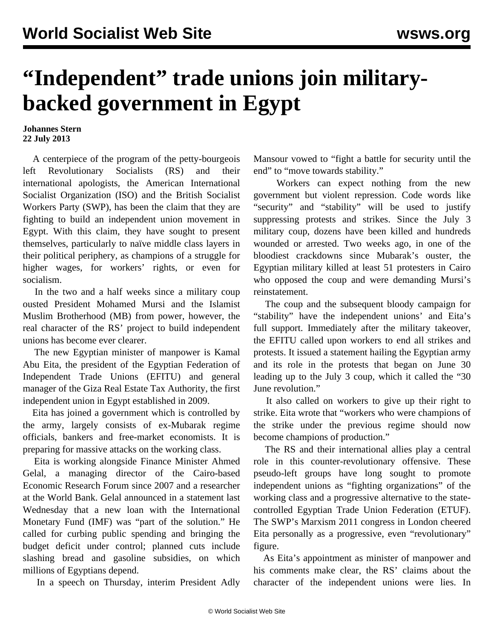## **"Independent" trade unions join militarybacked government in Egypt**

**Johannes Stern 22 July 2013**

 A centerpiece of the program of the petty-bourgeois left Revolutionary Socialists (RS) and their international apologists, the American International Socialist Organization (ISO) and the British Socialist Workers Party (SWP), has been the claim that they are fighting to build an independent union movement in Egypt. With this claim, they have sought to present themselves, particularly to naïve middle class layers in their political periphery, as champions of a struggle for higher wages, for workers' rights, or even for socialism.

 In the two and a half weeks since a military coup ousted President Mohamed Mursi and the Islamist Muslim Brotherhood (MB) from power, however, the real character of the RS' project to build independent unions has become ever clearer.

 The new Egyptian minister of manpower is Kamal Abu Eita, the president of the Egyptian Federation of Independent Trade Unions (EFITU) and general manager of the Giza Real Estate Tax Authority, the first independent union in Egypt established in 2009.

 Eita has joined a government which is controlled by the army, largely consists of ex-Mubarak regime officials, bankers and free-market economists. It is preparing for massive attacks on the working class.

 Eita is working alongside Finance Minister Ahmed Gelal, a managing director of the Cairo-based Economic Research Forum since 2007 and a researcher at the World Bank. Gelal announced in a statement last Wednesday that a new loan with the International Monetary Fund (IMF) was "part of the solution." He called for curbing public spending and bringing the budget deficit under control; planned cuts include slashing bread and gasoline subsidies, on which millions of Egyptians depend.

In a speech on Thursday, interim President Adly

Mansour vowed to "fight a battle for security until the end" to "move towards stability."

 Workers can expect nothing from the new government but violent repression. Code words like "security" and "stability" will be used to justify suppressing protests and strikes. Since the July 3 military coup, dozens have been killed and hundreds wounded or arrested. Two weeks ago, in one of the bloodiest crackdowns since Mubarak's ouster, the Egyptian military killed at least 51 protesters in Cairo who opposed the coup and were demanding Mursi's reinstatement.

 The coup and the subsequent bloody campaign for "stability" have the independent unions' and Eita's full support. Immediately after the military takeover, the EFITU called upon workers to end all strikes and protests. It issued a statement hailing the Egyptian army and its role in the protests that began on June 30 leading up to the July 3 coup, which it called the "30 June revolution."

 It also called on workers to give up their right to strike. Eita wrote that "workers who were champions of the strike under the previous regime should now become champions of production."

 The RS and their international allies play a central role in this counter-revolutionary offensive. These pseudo-left groups have long sought to promote independent unions as "fighting organizations" of the working class and a progressive alternative to the statecontrolled Egyptian Trade Union Federation (ETUF). The SWP's Marxism 2011 congress in London cheered Eita personally as a progressive, even "revolutionary" figure.

 As Eita's appointment as minister of manpower and his comments make clear, the RS' claims about the character of the independent unions were lies. In